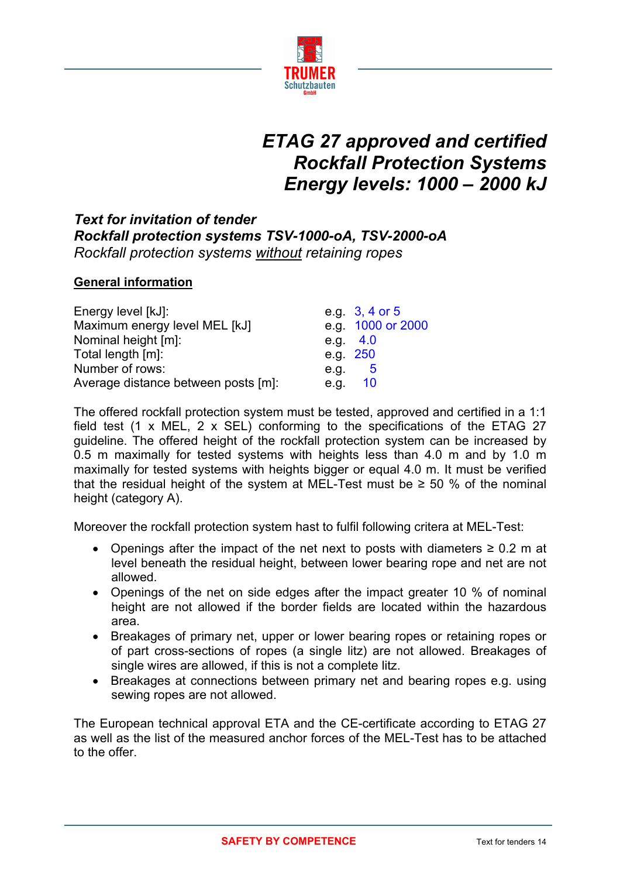

# *ETAG 27 approved and certified Rockfall Protection Systems Energy levels: 1000 – 2000 kJ*

## *Text for invitation of tender Rockfall protection systems TSV-1000-oA, TSV-2000-oA Rockfall protection systems without retaining ropes*

#### **General information**

| Energy level [kJ]:                  |            | e.g 3, 4 or 5     |
|-------------------------------------|------------|-------------------|
| Maximum energy level MEL [kJ]       |            | e.g. 1000 or 2000 |
| Nominal height [m]:                 | e.g. $4.0$ |                   |
| Total length [m]:                   | e.g. 250   |                   |
| Number of rows:                     | e.g. $5$   |                   |
| Average distance between posts [m]: | e.g. 10    |                   |

The offered rockfall protection system must be tested, approved and certified in a 1:1 field test (1 x MEL, 2 x SEL) conforming to the specifications of the ETAG 27 guideline. The offered height of the rockfall protection system can be increased by 0.5 m maximally for tested systems with heights less than 4.0 m and by 1.0 m maximally for tested systems with heights bigger or equal 4.0 m. It must be verified that the residual height of the system at MEL-Test must be  $\geq$  50 % of the nominal height (category A).

Moreover the rockfall protection system hast to fulfil following critera at MEL-Test:

- Openings after the impact of the net next to posts with diameters  $\geq 0.2$  m at level beneath the residual height, between lower bearing rope and net are not allowed.
- Openings of the net on side edges after the impact greater 10 % of nominal height are not allowed if the border fields are located within the hazardous area.
- Breakages of primary net, upper or lower bearing ropes or retaining ropes or of part cross-sections of ropes (a single litz) are not allowed. Breakages of single wires are allowed, if this is not a complete litz.
- Breakages at connections between primary net and bearing ropes e.g. using sewing ropes are not allowed.

The European technical approval ETA and the CE-certificate according to ETAG 27 as well as the list of the measured anchor forces of the MEL-Test has to be attached to the offer.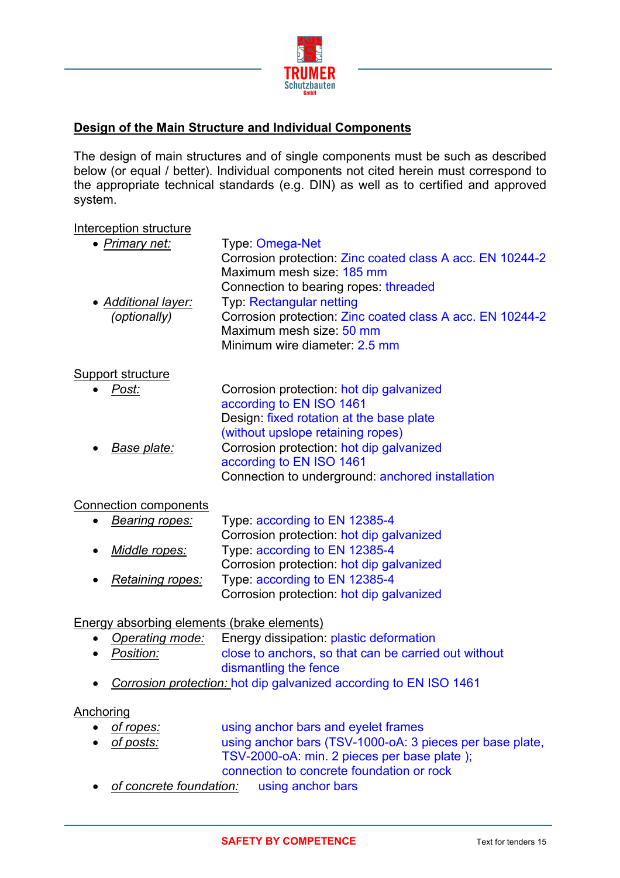

### **Design of the Main Structure and Individual Components**

The design of main structures and of single components must be such as described below (or equal / better). Individual components not cited herein must correspond to the appropriate technical standards (e.g. DIN) as well as to certified and approved system.

#### Interception structure

| Type: Omega-Net                                           |
|-----------------------------------------------------------|
| Corrosion protection: Zinc coated class A acc. EN 10244-2 |
| Maximum mesh size: 185 mm                                 |
| Connection to bearing ropes threaded                      |
| Typ: Rectangular netting                                  |
| Corrosion protection: Zinc coated class A acc. EN 10244-2 |
| Maximum mesh size: 50 mm                                  |
| Minimum wire diameter: 2.5 mm                             |
|                                                           |
| Corrosion protection: hot dip galvanized                  |
| according to EN ISO 1461                                  |
| Design: fixed rotation at the base plate                  |
| (without upslope retaining ropes)                         |
| Corrosion protection: hot dip galvanized                  |
| according to EN ISO 1461                                  |
| Connection to underground: anchored installation          |
|                                                           |
|                                                           |

## • *Bearing ropes:* Type: according to EN 12385-4 Corrosion protection: hot dip galvanized • *Middle ropes:* Type: according to EN 12385-4 Corrosion protection: hot dip galvanized

• *Retaining ropes:* Type: according to EN 12385-4 Corrosion protection: hot dip galvanized

#### Energy absorbing elements (brake elements)

- *Operating mode:* Energy dissipation: plastic deformation
- *Position:* close to anchors, so that can be carried out without dismantling the fence
- *Corrosion protection:* hot dip galvanized according to EN ISO 1461

#### Anchoring

- *of ropes:* using anchor bars and eyelet frames
- *of posts:* using anchor bars (TSV-1000-oA: 3 pieces per base plate, TSV-2000-oA: min. 2 pieces per base plate );

connection to concrete foundation or rock

• *of concrete foundation:* using anchor bars